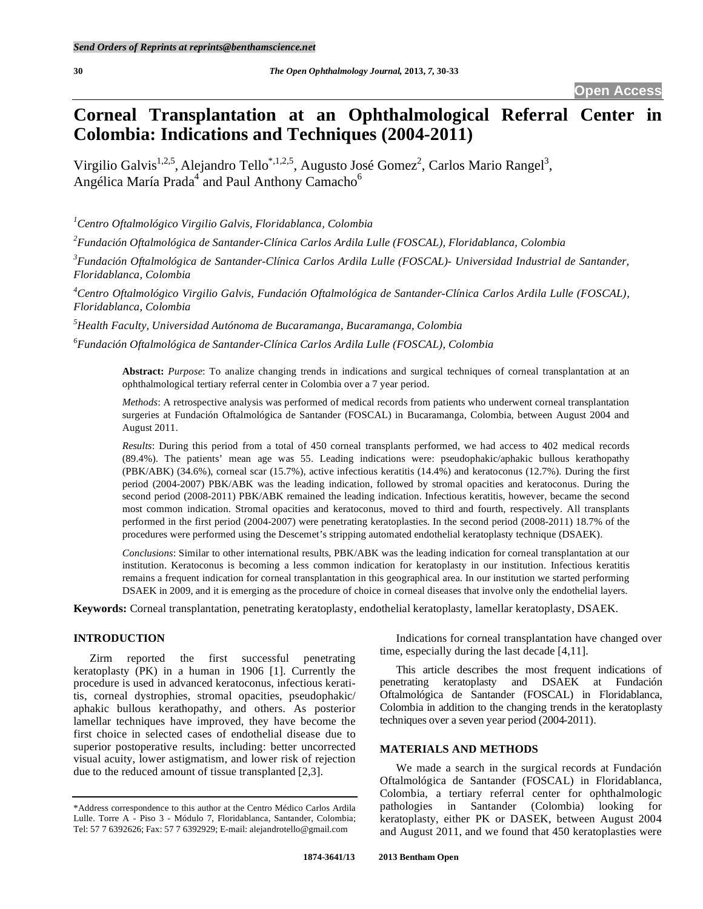# **Corneal Transplantation at an Ophthalmological Referral Center in Colombia: Indications and Techniques (2004-2011)**

Virgilio Galvis<sup>1,2,5</sup>, Alejandro Tello<sup>\*,1,2,5</sup>, Augusto José Gomez<sup>2</sup>, Carlos Mario Rangel<sup>3</sup>, Angélica María Prada<sup>4</sup> and Paul Anthony Camacho<sup>6</sup>

*1 Centro Oftalmológico Virgilio Galvis, Floridablanca, Colombia* 

*2 Fundación Oftalmológica de Santander-Clínica Carlos Ardila Lulle (FOSCAL), Floridablanca, Colombia* 

<sup>3</sup> Fundación Oftalmológica de Santander-Clínica Carlos Ardila Lulle (FOSCAL)- Universidad Industrial de Santander, *Floridablanca, Colombia* 

*4 Centro Oftalmológico Virgilio Galvis, Fundación Oftalmológica de Santander-Clínica Carlos Ardila Lulle (FOSCAL), Floridablanca, Colombia* 

*5 Health Faculty, Universidad Autónoma de Bucaramanga, Bucaramanga, Colombia* 

*6 Fundación Oftalmológica de Santander-Clínica Carlos Ardila Lulle (FOSCAL), Colombia* 

**Abstract:** *Purpose*: To analize changing trends in indications and surgical techniques of corneal transplantation at an ophthalmological tertiary referral center in Colombia over a 7 year period.

*Methods*: A retrospective analysis was performed of medical records from patients who underwent corneal transplantation surgeries at Fundación Oftalmológica de Santander (FOSCAL) in Bucaramanga, Colombia, between August 2004 and August 2011.

*Results*: During this period from a total of 450 corneal transplants performed, we had access to 402 medical records (89.4%). The patients' mean age was 55. Leading indications were: pseudophakic/aphakic bullous kerathopathy (PBK/ABK) (34.6%), corneal scar (15.7%), active infectious keratitis (14.4%) and keratoconus (12.7%). During the first period (2004-2007) PBK/ABK was the leading indication, followed by stromal opacities and keratoconus. During the second period (2008-2011) PBK/ABK remained the leading indication. Infectious keratitis, however, became the second most common indication. Stromal opacities and keratoconus, moved to third and fourth, respectively. All transplants performed in the first period (2004-2007) were penetrating keratoplasties. In the second period (2008-2011) 18.7% of the procedures were performed using the Descemet's stripping automated endothelial keratoplasty technique (DSAEK).

*Conclusions*: Similar to other international results, PBK/ABK was the leading indication for corneal transplantation at our institution. Keratoconus is becoming a less common indication for keratoplasty in our institution. Infectious keratitis remains a frequent indication for corneal transplantation in this geographical area. In our institution we started performing DSAEK in 2009, and it is emerging as the procedure of choice in corneal diseases that involve only the endothelial layers.

**Keywords:** Corneal transplantation, penetrating keratoplasty, endothelial keratoplasty, lamellar keratoplasty, DSAEK.

## **INTRODUCTION**

 Zirm reported the first successful penetrating keratoplasty (PK) in a human in 1906 [1]. Currently the procedure is used in advanced keratoconus, infectious keratitis, corneal dystrophies, stromal opacities, pseudophakic/ aphakic bullous kerathopathy, and others. As posterior lamellar techniques have improved, they have become the first choice in selected cases of endothelial disease due to superior postoperative results, including: better uncorrected visual acuity, lower astigmatism, and lower risk of rejection due to the reduced amount of tissue transplanted [2,3].

 Indications for corneal transplantation have changed over time, especially during the last decade [4,11].

 This article describes the most frequent indications of penetrating keratoplasty and DSAEK at Fundación Oftalmológica de Santander (FOSCAL) in Floridablanca, Colombia in addition to the changing trends in the keratoplasty techniques over a seven year period (2004-2011).

#### **MATERIALS AND METHODS**

 We made a search in the surgical records at Fundación Oftalmológica de Santander (FOSCAL) in Floridablanca, Colombia, a tertiary referral center for ophthalmologic pathologies in Santander (Colombia) looking for keratoplasty, either PK or DASEK, between August 2004 and August 2011, and we found that 450 keratoplasties were

<sup>\*</sup>Address correspondence to this author at the Centro Médico Carlos Ardila Lulle. Torre A - Piso 3 - Módulo 7, Floridablanca, Santander, Colombia; Tel: 57 7 6392626; Fax: 57 7 6392929; E-mail: alejandrotello@gmail.com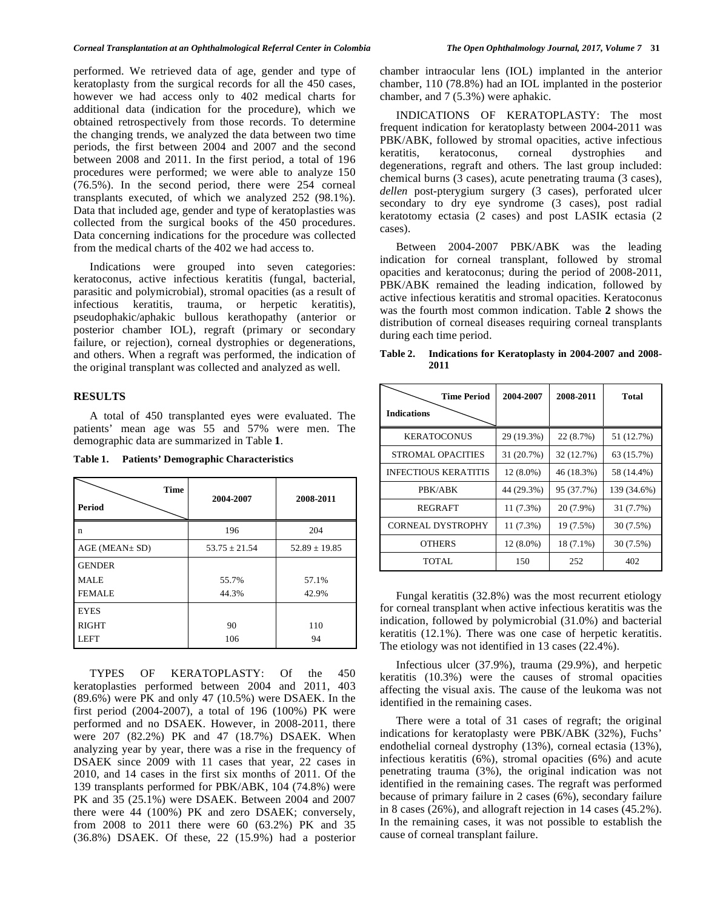performed. We retrieved data of age, gender and type of keratoplasty from the surgical records for all the 450 cases, however we had access only to 402 medical charts for additional data (indication for the procedure), which we obtained retrospectively from those records. To determine the changing trends, we analyzed the data between two time periods, the first between 2004 and 2007 and the second between 2008 and 2011. In the first period, a total of 196 procedures were performed; we were able to analyze 150 (76.5%). In the second period, there were 254 corneal transplants executed, of which we analyzed 252 (98.1%). Data that included age, gender and type of keratoplasties was collected from the surgical books of the 450 procedures. Data concerning indications for the procedure was collected from the medical charts of the 402 we had access to.

 Indications were grouped into seven categories: keratoconus, active infectious keratitis (fungal, bacterial, parasitic and polymicrobial), stromal opacities (as a result of infectious keratitis, trauma, or herpetic keratitis), pseudophakic/aphakic bullous kerathopathy (anterior or posterior chamber IOL), regraft (primary or secondary failure, or rejection), corneal dystrophies or degenerations, and others. When a regraft was performed, the indication of the original transplant was collected and analyzed as well.

## **RESULTS**

 A total of 450 transplanted eyes were evaluated. The patients' mean age was 55 and 57% were men. The demographic data are summarized in Table **1**.

**Table 1. Patients' Demographic Characteristics** 

| <b>Time</b><br><b>Period</b> | 2004-2007         | 2008-2011         |
|------------------------------|-------------------|-------------------|
| n                            | 196               | 204               |
| $AGE$ (MEAN $\pm$ SD)        | $53.75 \pm 21.54$ | $52.89 \pm 19.85$ |
| <b>GENDER</b>                |                   |                   |
| MALE                         | 55.7%             | 57.1%             |
| <b>FEMALE</b>                | 44.3%             | 42.9%             |
| <b>EYES</b>                  |                   |                   |
| <b>RIGHT</b>                 | 90                | 110               |
| <b>LEFT</b>                  | 106               | 94                |

 TYPES OF KERATOPLASTY: Of the 450 keratoplasties performed between 2004 and 2011, 403 (89.6%) were PK and only 47 (10.5%) were DSAEK. In the first period (2004-2007), a total of 196 (100%) PK were performed and no DSAEK. However, in 2008-2011, there were 207 (82.2%) PK and 47 (18.7%) DSAEK. When analyzing year by year, there was a rise in the frequency of DSAEK since 2009 with 11 cases that year, 22 cases in 2010, and 14 cases in the first six months of 2011. Of the 139 transplants performed for PBK/ABK, 104 (74.8%) were PK and 35 (25.1%) were DSAEK. Between 2004 and 2007 there were 44 (100%) PK and zero DSAEK; conversely, from 2008 to 2011 there were 60 (63.2%) PK and 35 (36.8%) DSAEK. Of these, 22 (15.9%) had a posterior

chamber intraocular lens (IOL) implanted in the anterior chamber, 110 (78.8%) had an IOL implanted in the posterior chamber, and 7 (5.3%) were aphakic.

 INDICATIONS OF KERATOPLASTY: The most frequent indication for keratoplasty between 2004-2011 was PBK/ABK, followed by stromal opacities, active infectious keratitis, keratoconus, corneal dystrophies and degenerations, regraft and others. The last group included: chemical burns (3 cases), acute penetrating trauma (3 cases), *dellen* post-pterygium surgery (3 cases), perforated ulcer secondary to dry eye syndrome (3 cases), post radial keratotomy ectasia (2 cases) and post LASIK ectasia (2 cases).

 Between 2004-2007 PBK/ABK was the leading indication for corneal transplant, followed by stromal opacities and keratoconus; during the period of 2008-2011, PBK/ABK remained the leading indication, followed by active infectious keratitis and stromal opacities. Keratoconus was the fourth most common indication. Table **2** shows the distribution of corneal diseases requiring corneal transplants during each time period.

| Table 2. |      | Indications for Keratoplasty in 2004-2007 and 2008- |  |  |
|----------|------|-----------------------------------------------------|--|--|
|          | 2011 |                                                     |  |  |

| <b>Time Period</b><br><b>Indications</b> | 2004-2007   | 2008-2011  | Total       |
|------------------------------------------|-------------|------------|-------------|
| <b>KERATOCONUS</b>                       | 29 (19.3%)  | 22 (8.7%)  | 51 (12.7%)  |
| STROMAL OPACITIES                        | 31 (20.7%)  | 32 (12.7%) | 63 (15.7%)  |
| <b>INFECTIOUS KERATITIS</b>              | $12(8.0\%)$ | 46 (18.3%) | 58 (14.4%)  |
| PBK/ABK                                  | 44 (29.3%)  | 95 (37.7%) | 139 (34.6%) |
| REGRAFT                                  | 11(7.3%)    | 20 (7.9%)  | 31 (7.7%)   |
| <b>CORNEAL DYSTROPHY</b>                 | 11 (7.3%)   | 19 (7.5%)  | 30 (7.5%)   |
| <b>OTHERS</b>                            | 12 (8.0%)   | 18 (7.1%)  | 30 (7.5%)   |
| TOTAL                                    | 150         | 252        | 402         |

 Fungal keratitis (32.8%) was the most recurrent etiology for corneal transplant when active infectious keratitis was the indication, followed by polymicrobial (31.0%) and bacterial keratitis (12.1%). There was one case of herpetic keratitis. The etiology was not identified in 13 cases (22.4%).

 Infectious ulcer (37.9%), trauma (29.9%), and herpetic keratitis (10.3%) were the causes of stromal opacities affecting the visual axis. The cause of the leukoma was not identified in the remaining cases.

 There were a total of 31 cases of regraft; the original indications for keratoplasty were PBK/ABK (32%), Fuchs' endothelial corneal dystrophy (13%), corneal ectasia (13%), infectious keratitis (6%), stromal opacities (6%) and acute penetrating trauma (3%), the original indication was not identified in the remaining cases. The regraft was performed because of primary failure in 2 cases (6%), secondary failure in 8 cases (26%), and allograft rejection in 14 cases (45.2%). In the remaining cases, it was not possible to establish the cause of corneal transplant failure.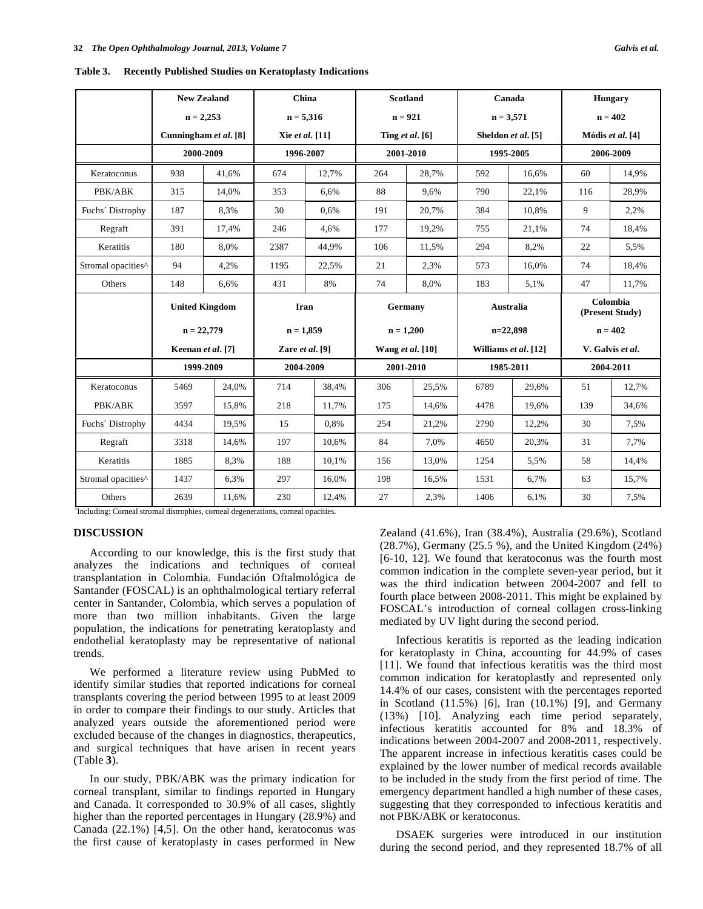| Table 3. |  |  |  | <b>Recently Published Studies on Keratoplasty Indications</b> |
|----------|--|--|--|---------------------------------------------------------------|
|----------|--|--|--|---------------------------------------------------------------|

|                    | <b>New Zealand</b>                    |       | China               |       | <b>Scotland</b>   |       | Canada               |       | <b>Hungary</b>              |       |
|--------------------|---------------------------------------|-------|---------------------|-------|-------------------|-------|----------------------|-------|-----------------------------|-------|
|                    | $n = 2,253$                           |       | $n = 5,316$         |       | $n = 921$         |       | $n = 3,571$          |       | $n = 402$                   |       |
|                    | Cunningham et al. [8]                 |       | Xie et al. [11]     |       | Ting et al. $[6]$ |       | Sheldon et al. [5]   |       | Módis et al. [4]            |       |
|                    | 2000-2009                             |       | 1996-2007           |       | 2001-2010         |       | 1995-2005            |       | 2006-2009                   |       |
| Keratoconus        | 938                                   | 41.6% | 674                 | 12,7% | 264               | 28,7% | 592                  | 16,6% | 60                          | 14,9% |
| PBK/ABK            | 315                                   | 14.0% | 353                 | 6.6%  | 88                | 9,6%  | 790                  | 22.1% | 116                         | 28.9% |
| Fuchs' Distrophy   | 187                                   | 8,3%  | 30                  | 0,6%  | 191               | 20,7% | 384                  | 10,8% | 9                           | 2,2%  |
| Regraft            | 391                                   | 17,4% | 246                 | 4.6%  | 177               | 19,2% | 755                  | 21,1% | 74                          | 18,4% |
| Keratitis          | 180                                   | 8,0%  | 2387                | 44,9% | 106               | 11,5% | 294                  | 8,2%  | 22                          | 5,5%  |
| Stromal opacities^ | 94                                    | 4,2%  | 1195                | 22,5% | 21                | 2,3%  | 573                  | 16.0% | 74                          | 18,4% |
| Others             | 148                                   | 6,6%  | 431                 | 8%    | 74                | 8,0%  | 183                  | 5,1%  | 47                          | 11,7% |
|                    | <b>United Kingdom</b><br>$n = 22,779$ |       | Iran<br>$n = 1,859$ |       | Germany           |       | Australia            |       | Colombia<br>(Present Study) |       |
|                    |                                       |       |                     |       |                   |       | $n=22,898$           |       | $n = 402$                   |       |
|                    |                                       |       |                     |       | $n = 1,200$       |       |                      |       |                             |       |
|                    | Keenan et al. [7]                     |       | Zare et al. [9]     |       | Wang et al. [10]  |       | Williams et al. [12] |       | V. Galvis et al.            |       |
|                    | 1999-2009                             |       | 2004-2009           |       | 2001-2010         |       | 1985-2011            |       | 2004-2011                   |       |
| Keratoconus        | 5469                                  | 24.0% | 714                 | 38,4% | 306               | 25,5% | 6789                 | 29.6% | 51                          | 12,7% |
| PBK/ABK            | 3597                                  | 15,8% | 218                 | 11,7% | 175               | 14,6% | 4478                 | 19,6% | 139                         | 34,6% |
| Fuchs' Distrophy   | 4434                                  | 19,5% | 15                  | 0.8%  | 254               | 21,2% | 2790                 | 12,2% | 30                          | 7,5%  |
| Regraft            | 3318                                  | 14,6% | 197                 | 10,6% | 84                | 7,0%  | 4650                 | 20,3% | 31                          | 7,7%  |
| Keratitis          | 1885                                  | 8,3%  | 188                 | 10.1% | 156               | 13,0% | 1254                 | 5,5%  | 58                          | 14,4% |
| Stromal opacities^ | 1437                                  | 6,3%  | 297                 | 16,0% | 198               | 16,5% | 1531                 | 6,7%  | 63                          | 15,7% |

^ Including: Corneal stromal distrophies, corneal degenerations, corneal opacities.

## **DISCUSSION**

 According to our knowledge, this is the first study that analyzes the indications and techniques of corneal transplantation in Colombia. Fundación Oftalmológica de Santander (FOSCAL) is an ophthalmological tertiary referral center in Santander, Colombia, which serves a population of more than two million inhabitants. Given the large population, the indications for penetrating keratoplasty and endothelial keratoplasty may be representative of national trends.

 We performed a literature review using PubMed to identify similar studies that reported indications for corneal transplants covering the period between 1995 to at least 2009 in order to compare their findings to our study. Articles that analyzed years outside the aforementioned period were excluded because of the changes in diagnostics, therapeutics, and surgical techniques that have arisen in recent years (Table **3**).

 In our study, PBK/ABK was the primary indication for corneal transplant, similar to findings reported in Hungary and Canada. It corresponded to 30.9% of all cases, slightly higher than the reported percentages in Hungary (28.9%) and Canada (22.1%) [4,5]. On the other hand, keratoconus was the first cause of keratoplasty in cases performed in New

Zealand (41.6%), Iran (38.4%), Australia (29.6%), Scotland (28.7%), Germany (25.5 %), and the United Kingdom (24%) [6-10, 12]. We found that keratoconus was the fourth most common indication in the complete seven-year period, but it was the third indication between 2004-2007 and fell to fourth place between 2008-2011. This might be explained by FOSCAL's introduction of corneal collagen cross-linking mediated by UV light during the second period.

 Infectious keratitis is reported as the leading indication for keratoplasty in China, accounting for 44.9% of cases [11]. We found that infectious keratitis was the third most common indication for keratoplastly and represented only 14.4% of our cases, consistent with the percentages reported in Scotland (11.5%) [6], Iran (10.1%) [9], and Germany (13%) [10]. Analyzing each time period separately, infectious keratitis accounted for 8% and 18.3% of indications between 2004-2007 and 2008-2011, respectively. The apparent increase in infectious keratitis cases could be explained by the lower number of medical records available to be included in the study from the first period of time. The emergency department handled a high number of these cases, suggesting that they corresponded to infectious keratitis and not PBK/ABK or keratoconus.

 DSAEK surgeries were introduced in our institution during the second period, and they represented 18.7% of all